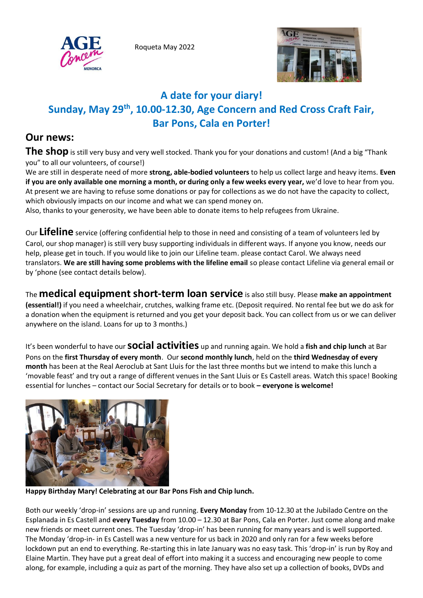Roqueta May 2022





# **A date for your diary! Sunday, May 29th, 10.00-12.30, Age Concern and Red Cross Craft Fair, Bar Pons, Cala en Porter!**

## **Our news:**

The shop is still very busy and very well stocked. Thank you for your donations and custom! (And a big "Thank you" to all our volunteers, of course!)

We are still in desperate need of more **strong, able-bodied volunteers** to help us collect large and heavy items. **Even if you are only available one morning a month, or during only a few weeks every year,** we'd love to hear from you. At present we are having to refuse some donations or pay for collections as we do not have the capacity to collect, which obviously impacts on our income and what we can spend money on.

Also, thanks to your generosity, we have been able to donate items to help refugees from Ukraine.

Our **Lifeline** service (offering confidential help to those in need and consisting of a team of volunteers led by Carol, our shop manager) is still very busy supporting individuals in different ways. If anyone you know, needs our help, please get in touch. If you would like to join our Lifeline team. please contact Carol. We always need translators. **We are still having some problems with the lifeline email** so please contact Lifeline via general email or by 'phone (see contact details below).

The **medical equipment short-term loan service** is also still busy. Please **make an appointment (essential!)** if you need a wheelchair, crutches, walking frame etc. (Deposit required. No rental fee but we do ask for a donation when the equipment is returned and you get your deposit back. You can collect from us or we can deliver anywhere on the island. Loans for up to 3 months.)

It's been wonderful to hav<sup>e</sup> our **social activities** up and running again. We hold a **fish and chip lunch** at Bar Pons on the **first Thursday of every month**. Our **second monthly lunch**, held on the **third Wednesday of every month** has been at the Real Aeroclub at Sant Lluis for the last three months but we intend to make this lunch a 'movable feast' and try out a range of different venues in the Sant Lluis or Es Castell areas. Watch this space! Booking essential for lunches – contact our Social Secretary for details or to book **– everyone is welcome!**



**Happy Birthday Mary! Celebrating at our Bar Pons Fish and Chip lunch.**

Both our weekly 'drop-in' sessions are up and running. **Every Monday** from 10-12.30 at the Jubilado Centre on the Esplanada in Es Castell and **every Tuesday** from 10.00 – 12.30 at Bar Pons, Cala en Porter. Just come along and make new friends or meet current ones. The Tuesday 'drop-in' has been running for many years and is well supported. The Monday 'drop-in- in Es Castell was a new venture for us back in 2020 and only ran for a few weeks before lockdown put an end to everything. Re-starting this in late January was no easy task. This 'drop-in' is run by Roy and Elaine Martin. They have put a great deal of effort into making it a success and encouraging new people to come along, for example, including a quiz as part of the morning. They have also set up a collection of books, DVDs and